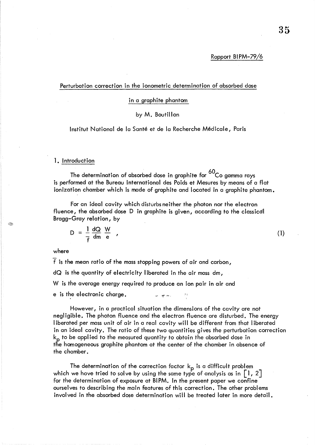## Rapport BIPM-79/6

### Perturbation correction in the ionometric determination of absorbed dose

# in a graphite phantom

# by M. Boutillon

Institut National de la Santé et de la Recherche Médicale, Paris

### 1. Introduction

The determination of absorbed dose in graphite for  $^{60}$ Co gamma rays is performed at the Bureau International des Poids et Mesures by means of a flat ionization chamber which is made of graphite and located in a graphite phantom.

For an ideal cavity which disturbs neither the photon nor the electron fluence, the absorbed dose D in graphite is given, according to the classicdl Bragg-Gray relation, by

$$
D = \frac{1}{f} \frac{dQ}{dm} \frac{W}{e} \qquad (1)
$$

# where

22

f is the mean ratio of the mass stopping powers of air and carbon, dQ is the quantity of electricity I iberated in the air mass dm, W is the average energy required to produce an ion pair in air and e is the electronic charge.

However, in a practical situation the dimensions of the cavity are not negligible. The photon fluence and the electron fluence are disturbed. The energy I iberated per mass unit of air in a real cavity will be different from that liberated in an ideal cavity. The ratio of these two quantities gives the perturbation correction  $k_p$  to be applied to the measured quantity to obtain the absorbed dose in the homogeneous graphite phantom at the center of the chamber in absence of the chamber.

The determination of the correction factor  $k_p$  is a difficult problem which we have tried to solve by using the same type of analysis as in  $\lceil 1, 2 \rceil$ for the determination of exposure at BI PM. In the present paper we confine ourselves to describing the main features of this correction. The other problems involved in the absorbed dose determination will be treated later in more detail.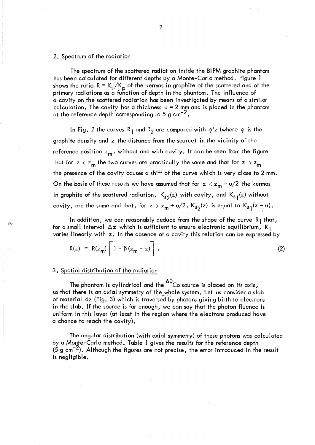#### 2. Spectrum of the radiation

The spectrum of the scattered radiation inside the BIPM graphite phantom has been calculated for different depths by a Monte-Carlo method. Figure I shows the ratio  $R = K_s/K_p$  of the kermas in graphite of the scattered and of the primary radiations as a function of depth in the phantom. The influence of a cavity on the scattered radiation has been investigated by means of a similar calculation. The cavity has a thickness  $u = 2$  mm and is placed in the phantom at the reference depth corresponding to 5 g cm<sup>-2</sup>.

In Fig. 2 the curves R<sub>1</sub> and R<sub>2</sub> are compared with  $\rho$ 'z (where  $\rho$  is the graphite density and z the distance from the source) in the vicinity of the reference position  $z_m$ , without and with cavity. It can be seen from the figure that for  $z < z_m$  the two curves are practically the same and that for  $z > z_m$ the presence of the cavity causes a shift of the curve which is very close to 2 mm. On the basis of these results we have assumed that for  $z < z_m - u/2$  the kermas in graphite of the scattered radiation,  $K_{s2}(z)$  with cavity, and  $K_{s1}(z)$  without cavity, are the same and that, for  $z > z_m + \frac{u}{2}$ ,  $K_{s2}(z)$  is equal to  $K_{s1}(z - \upsilon)$ .

In addition, we can reasonably deduce from the shape of the curve  $R_1$  that, for a small interval  $\Delta z$  which is sufficient to ensure electronic equilibrium, R<sub>1</sub> varies linearly with z. In the absence of a cavity this relation can be expressed by

$$
R(z) = R(z_m) \left[ 1 - \beta (z_m - z) \right]. \tag{2}
$$

#### 3. Spatial distribution of the radiation

The phantom is cylindrical and the  $^{60}$ Co source is placed on its axis, so that there is an axial symmetry of the whole system. Let us consider a slab of material  $dz$  (Fig. 3) which is traversed by photons giving birth to electrons in the slab. If the source is far enough, we can say that the photon fluence is uniform in this layer (at least in the region where the electrons produced have a chance to reach the cavity).

The angular distribution (with axial symmetry) of these photons was calculated by a Monte-Carlo method. Table 1 gives the results for the reference depth  $(5 g cm<sup>-2</sup>)$ . Although the figures are not precise, the error introduced in the result is negligible.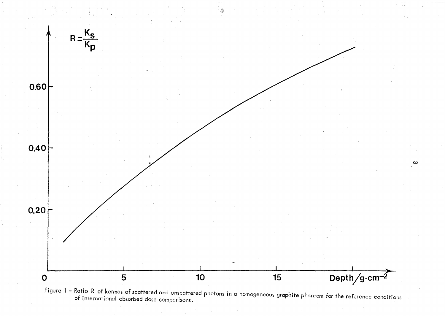

Figure 1 – Ratio R of kermas of scattered and unscattered photons in a homogeneous graphite phantom for the reference conditions of international absorbed dose comparisons.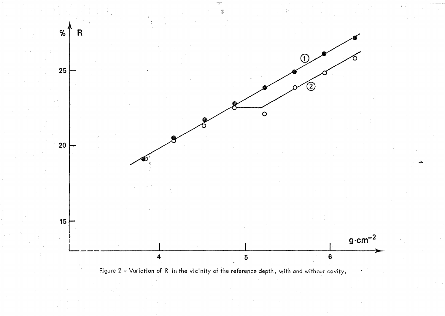

Figure - Variation of R in the vicinity of the reference depth, with and without cavity.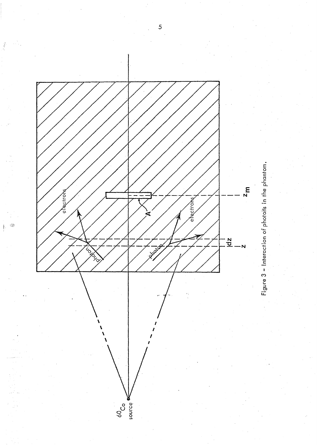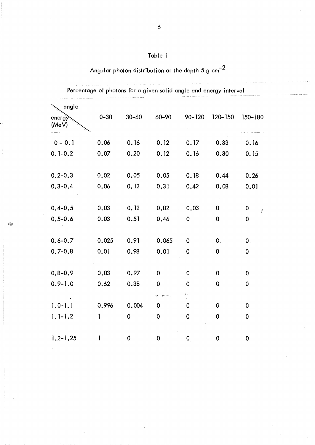# Table 1

Angular photon distribution at the depth  $5\ \mathrm{g\ cm}^{-2}$ 

| angle<br>energy<br>(MeV) | $0 - 30$     | $30 - 60$   | 60-90         | $90 - 120$         | $120 - 150$  | 150-180           |
|--------------------------|--------------|-------------|---------------|--------------------|--------------|-------------------|
| $0 - 0.1$                | 0.06         | 0.16        | 0.12          | 0.17               | 0.33         | 0.16              |
| $0.1 - 0.2$              | 0.07         | 0.20        | 0.12          | 0.16               | 0.30         | 0.15              |
| $0.2 - 0.3$              | 0.02         | 0.05        | 0.05          | 0.18               | 0.44         | 0.26              |
| $0.3 - 0.4$              | 0.06         | 0.12        | 0,31          | 0.42               | 0.08         | 0.01              |
| $0.4 - 0.5$              | 0.03         | 0.12        | 0.82          | 0.03               | $\mathbf 0$  | 0                 |
| $0.5 - 0.6$              | 0.03         | 0.51        | 0.46          | $\mathbf 0$        | 0            | ł<br>$\mathbf 0$  |
|                          | 0.025        | 0.91        |               | 0                  | $\mathbf{0}$ |                   |
| $0.6 - 0.7$<br>$0,7-0,8$ | 0.01         | 0.98        | 0.065<br>0.01 | 0                  | 0            | $\mathbf{0}$<br>0 |
|                          |              |             |               |                    |              |                   |
| $0.8 - 0.9$              | 0.03         | 0.97        | $\mathbf 0$   | 0                  | 0            | 0                 |
| $0.9 - 1.0$              | 0.62         | 0.38        | $\mathbf 0$   | 0                  | 0            | 0                 |
| $1.0 - 1.1$              | 0.996        | 0.004       | out in<br>0   | $\frac{9}{3}$<br>0 | 0            | 0                 |
| $1.1 - 1.2$              | $\mathbf{1}$ | $\mathbf 0$ | 0             | $\mathbf 0$        | 0            | 0                 |
|                          |              |             |               |                    |              |                   |
| $1.2 - 1.25$             | 1            | Ó           | $\mathbf 0$   | $\mathbf{0}$       | 0            | $\mathbf 0$       |

Percentage of photons for a given solid angle and energy interval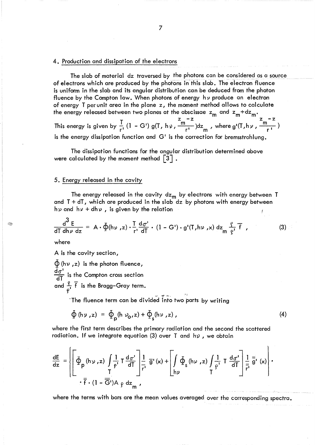#### 4. Production and dissipation of the electrons

The slab of material dz traversed by the photons can be considered as a source of electrons which are produced by the photons in this slab. The electron fluence is uniform in the slab and its angular distribution can be deduced from the photon fluence by the Compton law. When photons of energy h *v* produce an electron of energy T per unit area in the plane z, the moment method allows to calculate of energy 1 per unit area in the protice 2, the means of energy released between two planes at the abscissae  $z_m$  and  $z_m + dz_m$ .<br> $z_m - z$ 

 $z_m - z$  m m m  $z_m - z$ This energy is given by  $\frac{1}{r}$  (1 - G') g(T, h  $\frac{m}{r}$ ,  $\frac{m}{r}$ ) dz<sub>m</sub>, where g'(T, h  $\frac{m}{r}$ ,  $\frac{m}{r}$ ) is the energy dissipation function and G' is the correction for bremsstrahlung.

The dissipation functions for the angular distribution determined above were calculated by the moment method  $\lceil 3 \rceil$ .

## 5. Energy released in the cavity

The energy released in the cavity  $dz_m$  by electrons with energy between  $T$ and T + dT, which are produced in the slab dz by photons with energy between hy and hy + dhy, is given by the relation

$$
\frac{d^3 E}{d\Gamma \, dh\nu \, dz} = A \cdot \oint(h\nu , z) \cdot \frac{T}{r!} \frac{d\sigma^1}{dT} \cdot (1 - G') \cdot g'(T, h\nu , x) \, dz \frac{\rho}{r} \frac{\rho}{r} , \qquad (3)
$$

where

A is the cavity section,

 $\oint$  (hv, z) is the photon fluence,  $\frac{d\sigma^1}{d\overline{I}}$  is the Compton cross section and  $\frac{q}{r}$   $\overline{f}$  is the Bragg–Gray term.  $\mathcal{G}$  is the contract of  $\mathcal{G}$  is the contract of  $\mathcal{G}$ 

"The fluence term can be divided into two parts by writing

$$
\Phi(\mathsf{h}\,\mathsf{v}\,,\mathsf{z})\;=\;\Phi_{\mathsf{p}}(\mathsf{h}\,\mathsf{v}_{\mathsf{o}},\mathsf{z})+\Phi_{\mathsf{s}}(\mathsf{h}\,\mathsf{v}\,,\mathsf{z})\,,\tag{4}
$$

where the first term describes the primary radiation and the second the scattered radiation. If we integrate equation (3) over T and  $h\nu$ , we obtain

$$
\frac{dE}{dz} = \left\{\left[\Phi_p(h\nu, z)\int\frac{1}{\rho^i} T \frac{d\sigma^i}{d\Gamma} \right] \frac{1}{r^i} \overline{g}'(x) + \left[\int\limits_{h\nu} \Phi_s(h\nu, z)\int\limits_{\Gamma} \frac{1}{\rho^i} T \frac{d\sigma^i}{d\Gamma} \right] \frac{1}{\overline{r}^i} \overline{g}'(x)\right\} \cdot \frac{dE}{d\Gamma}
$$

where the terms with bars are the mean values averaged over the corresponding spectra.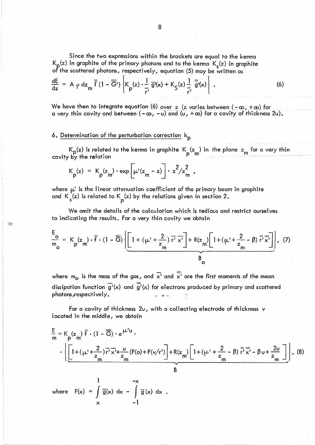Since the two expressions within the brackets are equal to the kerma  $K_{p}(z)$  in graphite of the primary photons and to the kerma  $K_{s}(z)$  in graphite of the scattered photons, respectively, equation (5) may be written as

$$
\frac{dE}{dz} = A \rho dz_m \overline{\overline{f}} (1 - \overline{\overline{G}}^t) \left\{ K_p(z) \cdot \frac{1}{r^1} \overline{g}^t(x) + K_{\overline{S}}(z) \frac{1}{\overline{r}^t} \overline{\overline{g}}^t(x) \right\}.
$$
 (6)

We have then to integrate equation (6) over z (z varies between  $(-\infty, +\infty)$  for a very thin cavity and between  $(-\infty, -\upsilon)$  and  $(\upsilon, +\infty)$  for a cavity of thickness 2u).

6. Determination of the perturbation correction k<sub>p</sub>

Q,

 $K_{\bf p}$ (z) is related to the kerma in graphite  $K_{\bf p}({\bf z_m})$  in the plane  ${\bf z_m}$  for a very thin cavity by the relation

$$
K_p(z) = K_p(z_m) \cdot \exp\left[\mu'(z_m - z)\right] \cdot z^2/z_m^2,
$$

where  $\mu'$  is the linear attenuation coefficient of the primary beam in graphite and K  $_{\rm s}^{\rm (z)}$  is related to K  $_{\rm p}^{\rm (z)}$  by the relations given in section 2.

We omit the details of the calculation which is tedious and restrict ourselves to indicating the results. For a very thin cavity we obtain

$$
\frac{E_o}{m_o} = K_p(z_m) \cdot \overline{f} \cdot (1 - \overline{G}) \left\{ \underbrace{\left[ 1 + (\mu' + \frac{2}{z_m}) \overline{r'} \overline{x'} \right] + R(z_m) \left[ 1 + (\mu' + \frac{2}{z_m} - \beta) \overline{r'} \overline{x'} \right]}_{B_o} \right\}, \quad (7)
$$

where  $m_0$  is the mass of the gas, and  $\overline{x}^1$  and  $\overline{x}^1$  are the first moments of the mean dissipation function  $\overline{g'}(x)$  and  $\overline{\overline{g'}}(x)$  for electrons produced by primary and scattered photons, respectively.

For a cavity of thickness 2u, with a collecting electrode of th ickness v located in the middle, we obtain

$$
\frac{E}{m} = K_p(z_m) \overline{f} \cdot (1 - \overline{G}) \cdot e^{\mu'U} \cdot
$$
\n
$$
\cdot \left\{ \left[ 1 + (\mu' + \frac{2}{z_m}) \overline{r'} \overline{x'} + \frac{U}{z_m} (F(o) + F(v/r') \right] + R(z_m) \left[ 1 + (\mu' + \frac{2}{z_m} - \beta) \overline{r'} \overline{x'} - \beta U + \frac{2U}{z_m} \right] \right\}, \quad (8)
$$
\n
$$
\frac{1}{B}
$$
\nwhere  $F(x) = \int_{x}^{1} \overline{g}(x) dx - \int_{1}^{x} \overline{g}(x) dx$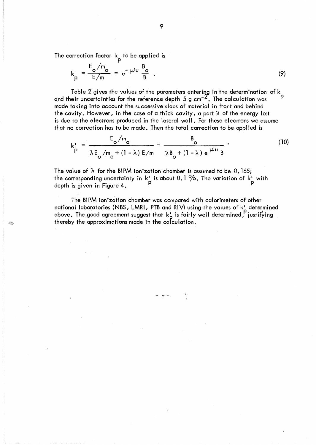The correction factor  $\mathsf k\mathsf - \mathsf p$  to be applied is

I.

$$
k_p = \frac{E_o/m_o}{E/m} = e^{-\mu^2 u} \frac{B_o}{B} \tag{9}
$$

Table 2 gives the values of the parameters entering in the determination of  $\mathsf{k}_{\cdot}$ and their uncertainties for the reference depth 5 g cm $^{-2}$ . The calculation was  $^{\mathrm{p}}$ made taking into account the successive slabs of material in front and behind the cavity. However, in the case of a thick cavity, a part  $\lambda$  of the energy lost is due to the electrons produced in the lateral wall. For these electrons we assume that no correction has to be made. Then the total correction to be applied is

$$
k'_{p} = \frac{E_{o}/m_{o}}{\lambda E_{o}/m_{o} + (1 - \lambda) E/m} = \frac{B_{o}}{\lambda B_{o} + (1 - \lambda) e^{\mu' u} B}.
$$
 (10)

4.5

The value of  $\lambda$  for the BIPM ionization chamber is assumed to be 0.165; the corresponding uncertainty in  $k_{\perp}$  is about 0.1  $\%$ . The variation of  $k_{\perp}$  with depth is given in Figure 4.  $\qquad \qquad \qquad$  P  $\qquad \qquad$  P

The BIPM ionization chamber was compared with calorimeters of other national laboratories (NBS, LMRI, PTB and RIV) using the values of k<u>'</u> determined above. The good agreement suggest that  $k_{\mathsf{p}}^{\mathsf{r}}$  is fairly well determined, justifying thereby the approximations made in the calculation.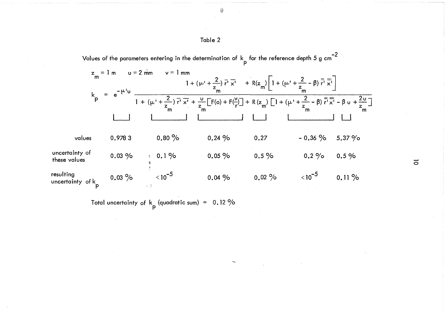|                                            | $u = 2$ mm<br>$z_m = 1$ m<br>$e^{-\mu t}$ | $v = 1$ mm  | 1 + ( $\mu$ <sup>'</sup> + $\frac{2}{z}$ ) $\overline{r}$ <sup>'</sup> $\overline{x}$ <sup>'</sup> + R(z <sub>m</sub> ) 1 + ( $\mu$ <sup>'</sup> + $\frac{2}{z}$ - $\beta$ ) $\overline{r}$ <sup>'</sup> $\overline{x}$ <sup>'</sup>                      |          |                |        |
|--------------------------------------------|-------------------------------------------|-------------|-----------------------------------------------------------------------------------------------------------------------------------------------------------------------------------------------------------------------------------------------------------|----------|----------------|--------|
| $k$ <sub>p</sub>                           |                                           |             | 1 + ( $\mu$ <sup>'</sup> + $\frac{2}{z_m}$ ) $\overline{r}$ ' $\overline{x}$ ' + $\frac{u}{z_m}$ [F(o) + F( $\frac{v}{r}$ )] + R( $z_m$ ) [1 + ( $\mu$ ' + $\frac{2}{z_m}$ - $\beta$ ) $\overline{r}$ ' $\overline{x}$ ' - $\beta$ u + $\frac{2u}{z_m}$ ] |          |                |        |
| values                                     | 0.9783                                    | $0.80\%$    | 0.24%                                                                                                                                                                                                                                                     | 0.27     | $-0.36 \%$     | 5.37 % |
| uncertainty of<br>these values             | $0.03\%$                                  | $0.1\%$     | $0.05\%$                                                                                                                                                                                                                                                  | $0.5\%$  | $0.2\%$        | 0.5%   |
| resulting<br>uncertainty of k <sub>p</sub> | $0.03\%$                                  | $< 10^{-5}$ | 0.04%                                                                                                                                                                                                                                                     | $0.02\%$ | $<$ 10 $^{-5}$ | 0.11%  |

Total uncertainty of  $k_p$  (quadratic sum) = 0.12 %

 $\overline{\circ}$ 

# Table 2

Values of the parameters entering in the determination of  $\,$  for the reference depth 5 g cm $^{-2}$ 

儰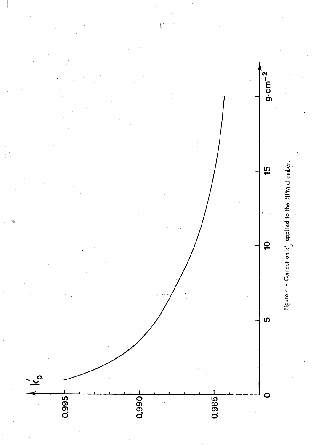